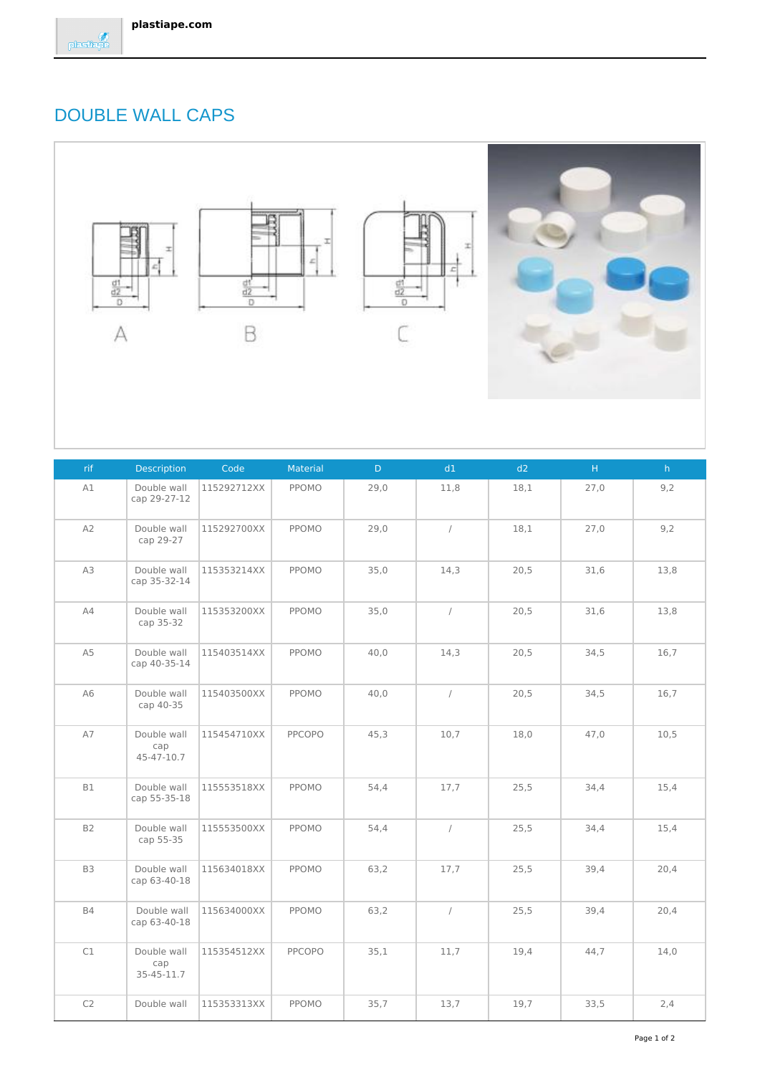## DOUBLE WALL CAPS



| rif            | <b>Description</b>               | Code        | Material | D    | d1         | d2   | H    | h    |
|----------------|----------------------------------|-------------|----------|------|------------|------|------|------|
| A1             | Double wall<br>cap 29-27-12      | 115292712XX | PPOMO    | 29,0 | 11,8       | 18,1 | 27,0 | 9,2  |
| A2             | Double wall<br>cap 29-27         | 115292700XX | PPOMO    | 29,0 | $\sqrt{2}$ | 18,1 | 27,0 | 9,2  |
| A3             | Double wall<br>cap 35-32-14      | 115353214XX | PPOMO    | 35,0 | 14,3       | 20,5 | 31,6 | 13,8 |
| A4             | Double wall<br>cap 35-32         | 115353200XX | PPOMO    | 35,0 | $\sqrt{2}$ | 20,5 | 31,6 | 13,8 |
| A <sub>5</sub> | Double wall<br>cap 40-35-14      | 115403514XX | PPOMO    | 40,0 | 14,3       | 20,5 | 34,5 | 16,7 |
| A6             | Double wall<br>cap 40-35         | 115403500XX | PPOMO    | 40,0 | $\sqrt{ }$ | 20,5 | 34,5 | 16,7 |
| A7             | Double wall<br>cap<br>45-47-10.7 | 115454710XX | PPCOPO   | 45,3 | 10,7       | 18,0 | 47,0 | 10,5 |
| <b>B1</b>      | Double wall<br>cap 55-35-18      | 115553518XX | PPOMO    | 54,4 | 17,7       | 25,5 | 34,4 | 15,4 |
| <b>B2</b>      | Double wall<br>cap 55-35         | 115553500XX | PPOMO    | 54,4 | $\sqrt{ }$ | 25,5 | 34,4 | 15,4 |
| B3             | Double wall<br>cap 63-40-18      | 115634018XX | PPOMO    | 63,2 | 17,7       | 25,5 | 39,4 | 20,4 |
| <b>B4</b>      | Double wall<br>cap 63-40-18      | 115634000XX | PPOMO    | 63,2 | $\sqrt{2}$ | 25,5 | 39,4 | 20,4 |
| C1             | Double wall<br>cap<br>35-45-11.7 | 115354512XX | PPCOPO   | 35,1 | 11,7       | 19,4 | 44,7 | 14,0 |
| C2             | Double wall                      | 115353313XX | PPOMO    | 35,7 | 13,7       | 19,7 | 33,5 | 2,4  |